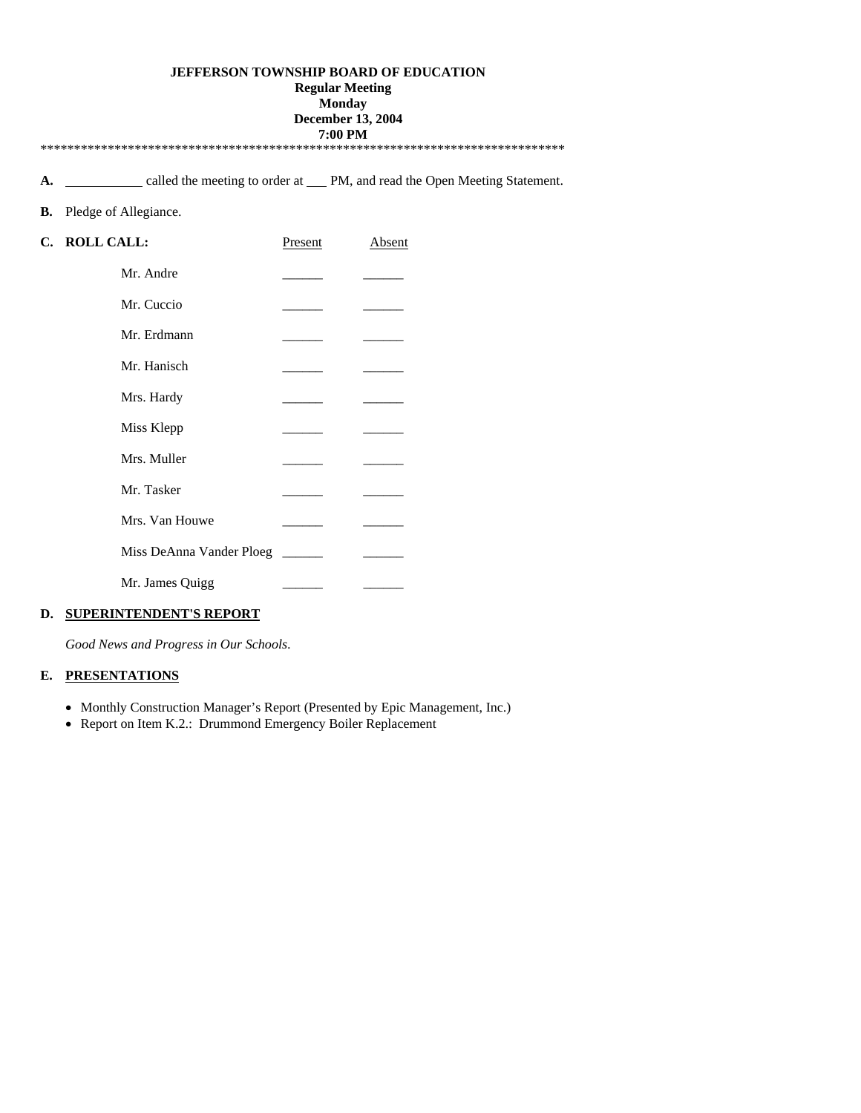### **JEFFERSON TOWNSHIP BOARD OF EDUCATION**

**Regular Meeting** 

## **Monday**

#### **December 13, 2004 7:00 PM**

\*\*\*\*\*\*\*\*\*\*\*\*\*\*\*\*\*\*\*\*\*\*\*\*\*\*\*\*\*\*\*\*\*\*\*\*\*\*\*\*\*\*\*\*\*\*\*\*\*\*\*\*\*\*\*\*\*\*\*\*\*\*\*\*\*\*\*\*\*\*\*\*\*\*\*\*\*\*

A. **CALC 2018** called the meeting to order at PM, and read the Open Meeting Statement.

### **B.** Pledge of Allegiance.

| C. ROLL CALL:            | Present | Absent |
|--------------------------|---------|--------|
| Mr. Andre                |         |        |
| Mr. Cuccio               |         |        |
| Mr. Erdmann              |         |        |
| Mr. Hanisch              |         |        |
| Mrs. Hardy               |         |        |
| Miss Klepp               |         |        |
| Mrs. Muller              |         |        |
| Mr. Tasker               |         |        |
| Mrs. Van Houwe           |         |        |
| Miss DeAnna Vander Ploeg |         |        |
| Mr. James Quigg          |         |        |

## **D. SUPERINTENDENT'S REPORT**

*Good News and Progress in Our Schools*.

## **E. PRESENTATIONS**

- Monthly Construction Manager's Report (Presented by Epic Management, Inc.)
- Report on Item K.2.: Drummond Emergency Boiler Replacement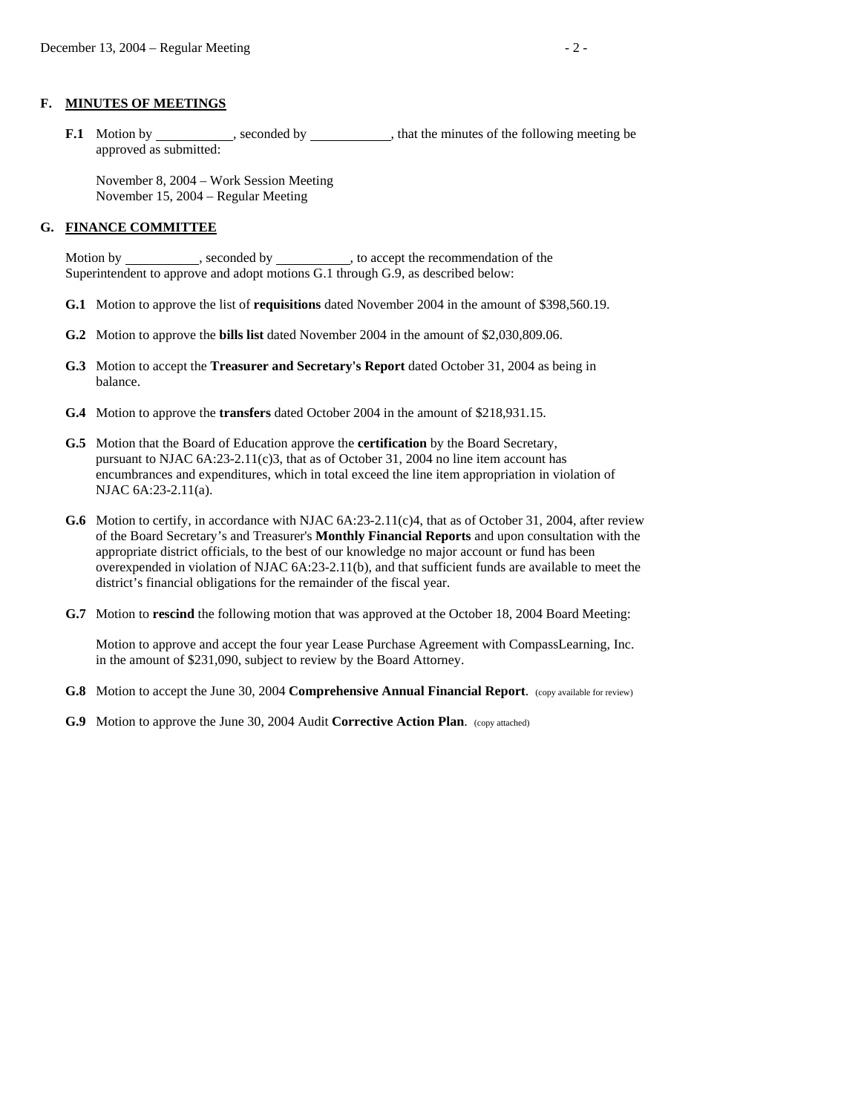#### **F. MINUTES OF MEETINGS**

**F.1** Motion by seconded by seconded by that the minutes of the following meeting be approved as submitted:

 November 8, 2004 – Work Session Meeting November 15, 2004 – Regular Meeting

#### **G. FINANCE COMMITTEE**

Motion by \_\_\_\_\_\_\_\_\_\_\_, seconded by \_\_\_\_\_\_\_\_\_\_, to accept the recommendation of the Superintendent to approve and adopt motions G.1 through G.9, as described below:

- **G.1** Motion to approve the list of **requisitions** dated November 2004 in the amount of \$398,560.19.
- **G.2** Motion to approve the **bills list** dated November 2004 in the amount of \$2,030,809.06.
- **G.3** Motion to accept the **Treasurer and Secretary's Report** dated October 31, 2004 as being in balance.
- **G.4** Motion to approve the **transfers** dated October 2004 in the amount of \$218,931.15.
- **G.5** Motion that the Board of Education approve the **certification** by the Board Secretary, pursuant to NJAC  $6A:23-2.11(c)3$ , that as of October 31, 2004 no line item account has encumbrances and expenditures, which in total exceed the line item appropriation in violation of NJAC 6A:23-2.11(a).
- **G.6** Motion to certify, in accordance with NJAC 6A:23-2.11(c)4, that as of October 31, 2004, after review of the Board Secretary's and Treasurer's **Monthly Financial Reports** and upon consultation with the appropriate district officials, to the best of our knowledge no major account or fund has been overexpended in violation of NJAC 6A:23-2.11(b), and that sufficient funds are available to meet the district's financial obligations for the remainder of the fiscal year.
- **G.7** Motion to **rescind** the following motion that was approved at the October 18, 2004 Board Meeting:

 Motion to approve and accept the four year Lease Purchase Agreement with CompassLearning, Inc. in the amount of \$231,090, subject to review by the Board Attorney.

- **G.8** Motion to accept the June 30, 2004 **Comprehensive Annual Financial Report**. (copy available for review)
- **G.9** Motion to approve the June 30, 2004 Audit **Corrective Action Plan**. (copy attached)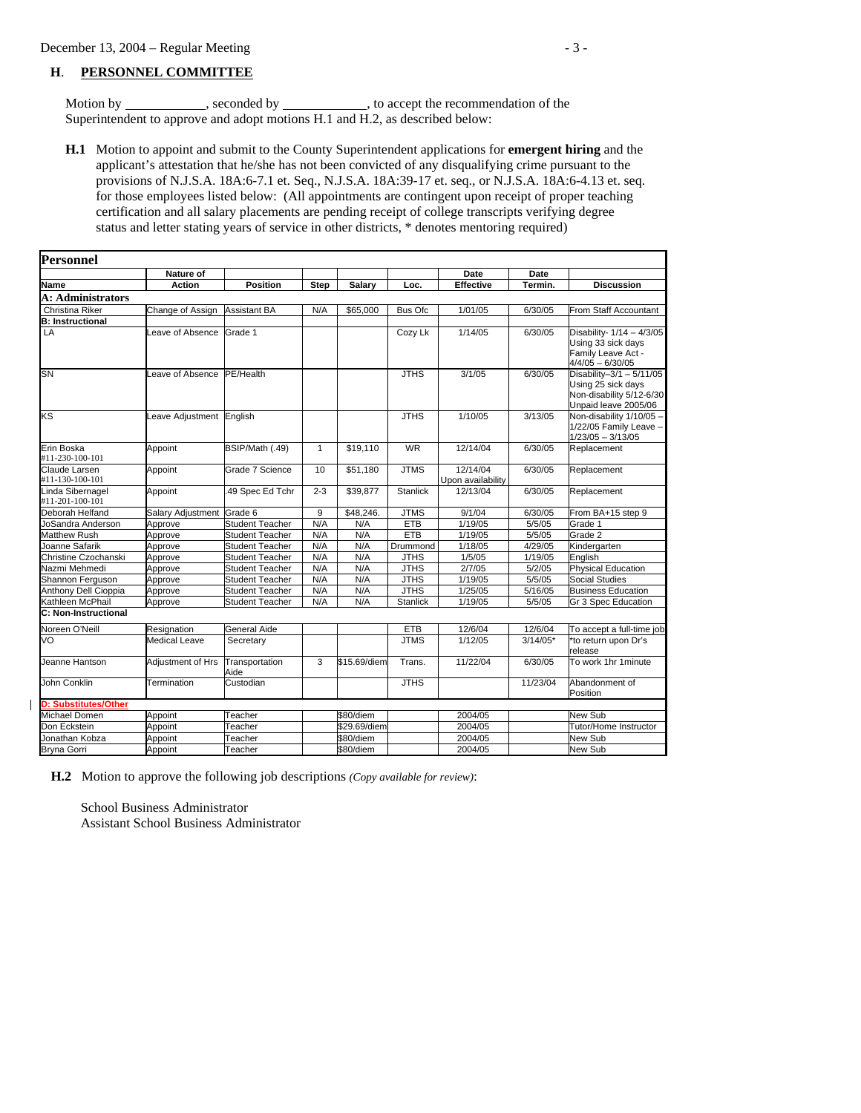#### **H**. **PERSONNEL COMMITTEE**

Motion by \_\_\_\_\_\_\_\_\_\_\_, seconded by \_\_\_\_\_\_\_\_\_\_, to accept the recommendation of the Superintendent to approve and adopt motions H.1 and H.2, as described below:

 **H.1** Motion to appoint and submit to the County Superintendent applications for **emergent hiring** and the applicant's attestation that he/she has not been convicted of any disqualifying crime pursuant to the provisions of N.J.S.A. 18A:6-7.1 et. Seq., N.J.S.A. 18A:39-17 et. seq., or N.J.S.A. 18A:6-4.13 et. seq. for those employees listed below: (All appointments are contingent upon receipt of proper teaching certification and all salary placements are pending receipt of college transcripts verifying degree status and letter stating years of service in other districts, \* denotes mentoring required)

| <b>Personnel</b>                    |                           |                        |              |              |                 |                               |            |                                                                                                      |
|-------------------------------------|---------------------------|------------------------|--------------|--------------|-----------------|-------------------------------|------------|------------------------------------------------------------------------------------------------------|
|                                     | Nature of                 |                        |              |              |                 | Date                          | Date       |                                                                                                      |
| Name                                | Action                    | <b>Position</b>        | <b>Step</b>  | Salary       | Loc.            | <b>Effective</b>              | Termin.    | <b>Discussion</b>                                                                                    |
| A: Administrators                   |                           |                        |              |              |                 |                               |            |                                                                                                      |
| Christina Riker                     | Change of Assign          | <b>Assistant BA</b>    | N/A          | \$65,000     | Bus Ofc         | 1/01/05                       | 6/30/05    | From Staff Accountant                                                                                |
| <b>B: Instructional</b>             |                           |                        |              |              |                 |                               |            |                                                                                                      |
| LA                                  | Leave of Absence          | Grade 1                |              |              | Cozy Lk         | 1/14/05                       | 6/30/05    | Disability- 1/14 - 4/3/05<br>Using 33 sick days<br>Family Leave Act -<br>$4/4/05 - 6/30/05$          |
| <b>SN</b>                           | Leave of Absence          | PE/Health              |              |              | <b>JTHS</b>     | 3/1/05                        | 6/30/05    | Disability-3/1 - $5/11/05$<br>Using 25 sick days<br>Non-disability 5/12-6/30<br>Unpaid leave 2005/06 |
| ΚS                                  | Leave Adiustment English  |                        |              |              | <b>JTHS</b>     | 1/10/05                       | 3/13/05    | Non-disability 1/10/05 -<br>1/22/05 Family Leave -<br>$1/23/05 - 3/13/05$                            |
| Erin Boska<br>#11-230-100-101       | Appoint                   | BSIP/Math (.49)        | $\mathbf{1}$ | \$19,110     | <b>WR</b>       | 12/14/04                      | 6/30/05    | Replacement                                                                                          |
| Claude Larsen<br>#11-130-100-101    | Appoint                   | Grade 7 Science        | 10           | \$51.180     | <b>JTMS</b>     | 12/14/04<br>Upon availability | 6/30/05    | Replacement                                                                                          |
| Linda Sibernagel<br>#11-201-100-101 | Appoint                   | 49 Spec Ed Tchr        | $2 - 3$      | \$39,877     | <b>Stanlick</b> | 12/13/04                      | 6/30/05    | Replacement                                                                                          |
| Deborah Helfand                     | Salary Adjustment Grade 6 |                        | 9            | \$48,246.    | <b>JTMS</b>     | 9/1/04                        | 6/30/05    | From BA+15 step 9                                                                                    |
| JoSandra Anderson                   | Approve                   | <b>Student Teacher</b> | N/A          | N/A          | <b>ETB</b>      | 1/19/05                       | 5/5/05     | Grade 1                                                                                              |
| <b>Matthew Rush</b>                 | Approve                   | Student Teacher        | N/A          | N/A          | <b>ETB</b>      | 1/19/05                       | 5/5/05     | Grade 2                                                                                              |
| Joanne Safarik                      | Approve                   | <b>Student Teacher</b> | N/A          | N/A          | Drummond        | 1/18/05                       | 4/29/05    | Kindergarten                                                                                         |
| Christine Czochanski                | Approve                   | <b>Student Teacher</b> | N/A          | N/A          | <b>JTHS</b>     | 1/5/05                        | 1/19/05    | English                                                                                              |
| Nazmi Mehmedi                       | Approve                   | <b>Student Teacher</b> | N/A          | N/A          | <b>JTHS</b>     | 2/7/05                        | 5/2/05     | <b>Physical Education</b>                                                                            |
| Shannon Ferquson                    | Approve                   | <b>Student Teacher</b> | N/A          | N/A          | <b>JTHS</b>     | 1/19/05                       | 5/5/05     | Social Studies                                                                                       |
| Anthony Dell Cioppia                | Approve                   | <b>Student Teacher</b> | N/A          | N/A          | <b>JTHS</b>     | 1/25/05                       | 5/16/05    | <b>Business Education</b>                                                                            |
| Kathleen McPhail                    | Approve                   | <b>Student Teacher</b> | N/A          | N/A          | <b>Stanlick</b> | 1/19/05                       | 5/5/05     | Gr 3 Spec Education                                                                                  |
| C: Non-Instructional                |                           |                        |              |              |                 |                               |            |                                                                                                      |
| Noreen O'Neill                      | Resignation               | General Aide           |              |              | <b>ETB</b>      | 12/6/04                       | 12/6/04    | To accept a full-time job                                                                            |
| VO                                  | Medical Leave             | Secretary              |              |              | <b>JTMS</b>     | 1/12/05                       | $3/14/05*$ | 'to return upon Dr's<br>release                                                                      |
| Jeanne Hantson                      | Adjustment of Hrs         | Transportation<br>Aide | 3            | \$15.69/diem | Trans.          | 11/22/04                      | 6/30/05    | To work 1hr 1minute                                                                                  |
| John Conklin                        | Termination               | Custodian              |              |              | <b>JTHS</b>     |                               | 11/23/04   | Abandonment of<br>Position                                                                           |
| <b>D: Substitutes/Other</b>         |                           |                        |              |              |                 |                               |            |                                                                                                      |
| <b>Michael Domen</b>                | Appoint                   | <b>Teacher</b>         |              | \$80/diem    |                 | 2004/05                       |            | <b>New Sub</b>                                                                                       |
| Don Eckstein                        | Appoint                   | eacher                 |              | \$29.69/diem |                 | 2004/05                       |            | Tutor/Home Instructor                                                                                |
| Jonathan Kobza                      | Appoint                   | <b>Feacher</b>         |              | \$80/diem    |                 | 2004/05                       |            | New Sub                                                                                              |
| Bryna Gorri                         | Appoint                   | Teacher                |              | \$80/diem    |                 | 2004/05                       |            | New Sub                                                                                              |

 **H.2** Motion to approve the following job descriptions *(Copy available for review)*:

 School Business Administrator Assistant School Business Administrator

 $\mathbf{I}$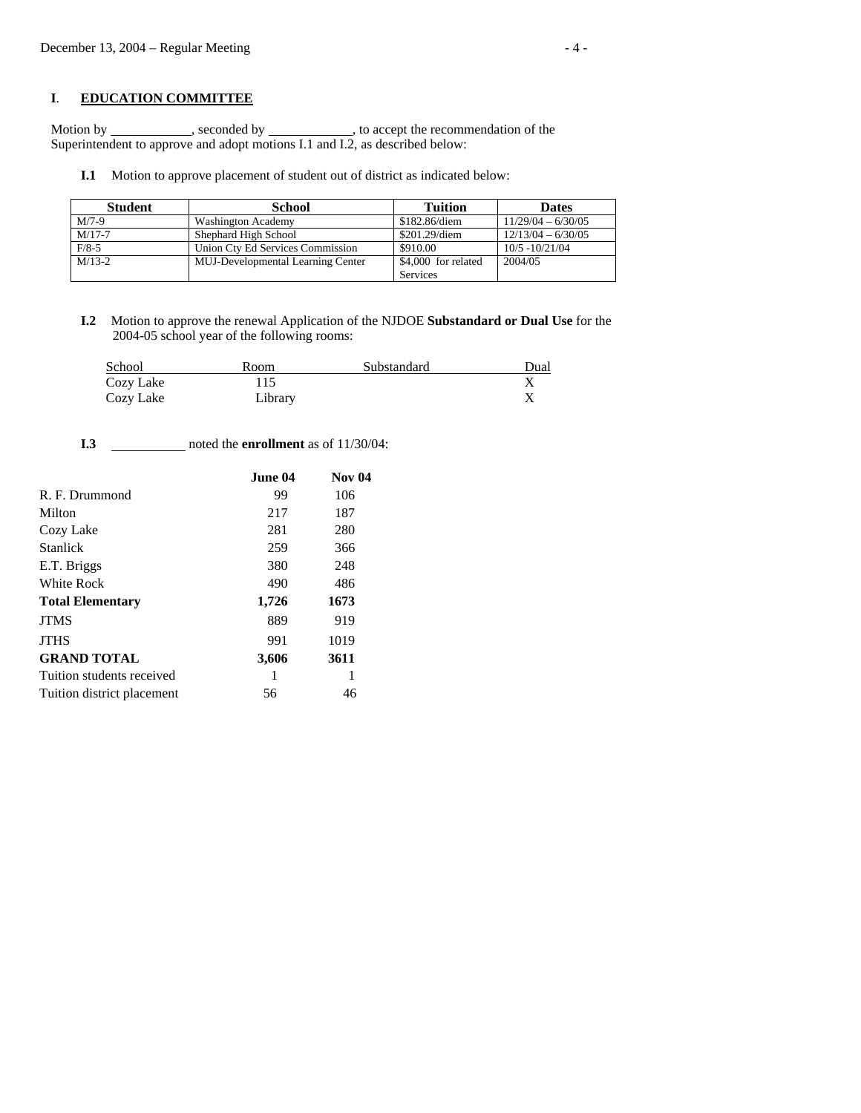## **I**. **EDUCATION COMMITTEE**

Motion by seconded by seconded by  $\sim$ , to accept the recommendation of the Superintendent to approve and adopt motions I.1 and I.2, as described below:

**I.1** Motion to approve placement of student out of district as indicated below:

| <b>Student</b> | <b>School</b>                            | Tuition             | <b>Dates</b>         |
|----------------|------------------------------------------|---------------------|----------------------|
| $M/7-9$        | <b>Washington Academy</b>                | \$182.86/diem       | $11/29/04 - 6/30/05$ |
| $M/17-7$       | Shephard High School                     | \$201.29/diem       | $12/13/04 - 6/30/05$ |
| $F/8-5$        | Union Ctv Ed Services Commission         | \$910.00            | $10/5 - 10/21/04$    |
| $M/13-2$       | <b>MUJ-Developmental Learning Center</b> | \$4,000 for related | 2004/05              |
|                |                                          | Services            |                      |

 **I.2** Motion to approve the renewal Application of the NJDOE **Substandard or Dual Use** for the 2004-05 school year of the following rooms:

| School    | Room    | Substandard | Dual |
|-----------|---------|-------------|------|
| Cozy Lake |         |             |      |
| Cozy Lake | Library |             |      |

**I.3** \_\_\_\_\_\_\_\_\_\_\_\_\_ noted the **enrollment** as of 11/30/04:

|                            | June 04 | <b>Nov 04</b> |
|----------------------------|---------|---------------|
| R. F. Drummond             | 99      | 106           |
| Milton                     | 217     | 187           |
| Cozy Lake                  | 281     | 280           |
| <b>Stanlick</b>            | 259     | 366           |
| E.T. Briggs                | 380     | 248           |
| White Rock                 | 490     | 486           |
| <b>Total Elementary</b>    | 1,726   | 1673          |
| <b>JTMS</b>                | 889     | 919           |
| <b>JTHS</b>                | 991     | 1019          |
| <b>GRAND TOTAL</b>         | 3,606   | 3611          |
| Tuition students received  | 1       | 1             |
| Tuition district placement | 56      | 46            |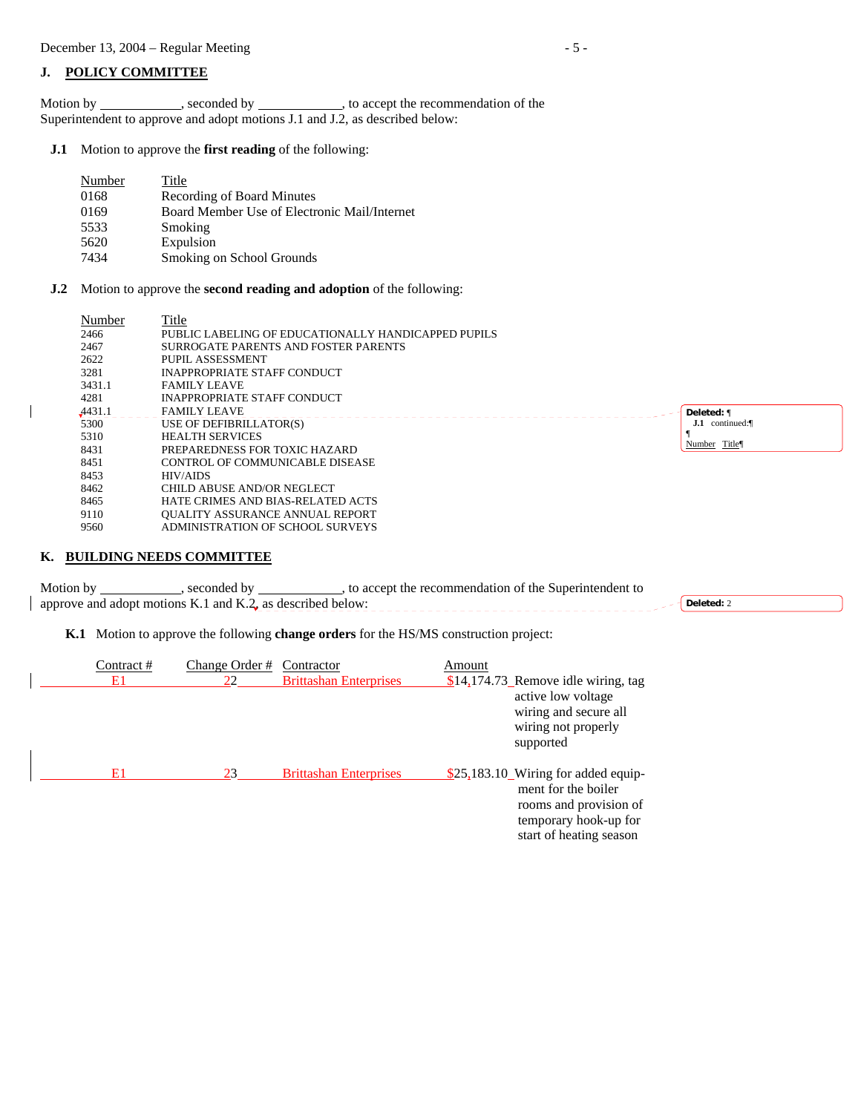## **J. POLICY COMMITTEE**

Motion by \_\_\_\_\_\_\_\_\_\_\_, seconded by \_\_\_\_\_\_\_\_\_\_\_, to accept the recommendation of the Superintendent to approve and adopt motions J.1 and J.2, as described below:

**J.1** Motion to approve the **first reading** of the following:

| Number | Title                                        |
|--------|----------------------------------------------|
| 0168   | Recording of Board Minutes                   |
| 0169   | Board Member Use of Electronic Mail/Internet |
| 5533   | Smoking                                      |
| 5620   | Expulsion                                    |
| 7434   | Smoking on School Grounds                    |

**J.2** Motion to approve the **second reading and adoption** of the following:

| Number | Title                                               |                              |
|--------|-----------------------------------------------------|------------------------------|
| 2466   | PUBLIC LABELING OF EDUCATIONALLY HANDICAPPED PUPILS |                              |
| 2467   | SURROGATE PARENTS AND FOSTER PARENTS                |                              |
| 2622   | PUPIL ASSESSMENT                                    |                              |
| 3281   | INAPPROPRIATE STAFF CONDUCT                         |                              |
| 3431.1 | <b>FAMILY LEAVE</b>                                 |                              |
| 4281   | INAPPROPRIATE STAFF CONDUCT                         |                              |
| 4431.1 | <b>FAMILY LEAVE</b>                                 | Deleted: 1                   |
| 5300   | USE OF DEFIBRILLATOR(S)                             | $\mathbf{J.1}$<br>continued: |
| 5310   | <b>HEALTH SERVICES</b>                              | Number Title¶                |
| 8431   | PREPAREDNESS FOR TOXIC HAZARD                       |                              |
| 8451   | CONTROL OF COMMUNICABLE DISEASE                     |                              |
| 8453   | <b>HIV/AIDS</b>                                     |                              |
| 8462   | CHILD ABUSE AND/OR NEGLECT                          |                              |
| 8465   | HATE CRIMES AND BIAS-RELATED ACTS                   |                              |
| 9110   | <b>OUALITY ASSURANCE ANNUAL REPORT</b>              |                              |
| 9560   | ADMINISTRATION OF SCHOOL SURVEYS                    |                              |

## **K. BUILDING NEEDS COMMITTEE**

 $\overline{\phantom{a}}$ 

 $\overline{\phantom{a}}$ 

| Motion by                                                  | secondec | to accept the recommendation of the Superintendent to |          |
|------------------------------------------------------------|----------|-------------------------------------------------------|----------|
| approve and adopt motions K.1 and K.2, as described below: |          |                                                       | Deleted: |

**K.1** Motion to approve the following **change orders** for the HS/MS construction project:

| Contract # | Change Order # | Contractor                    | Amount |                                                                                 |
|------------|----------------|-------------------------------|--------|---------------------------------------------------------------------------------|
| E1         | 22             | <b>Brittashan Enterprises</b> |        | $$14,174.73$ Remove idle wiring, tag                                            |
|            |                |                               |        | active low voltage<br>wiring and secure all<br>wiring not properly<br>supported |
|            |                |                               |        |                                                                                 |
| E1         | 23             | <b>Brittashan Enterprises</b> |        | \$25,183.10 Wiring for added equip-<br>ment for the boiler                      |
|            |                |                               |        | rooms and provision of                                                          |
|            |                |                               |        | temporary hook-up for                                                           |
|            |                |                               |        | start of heating season                                                         |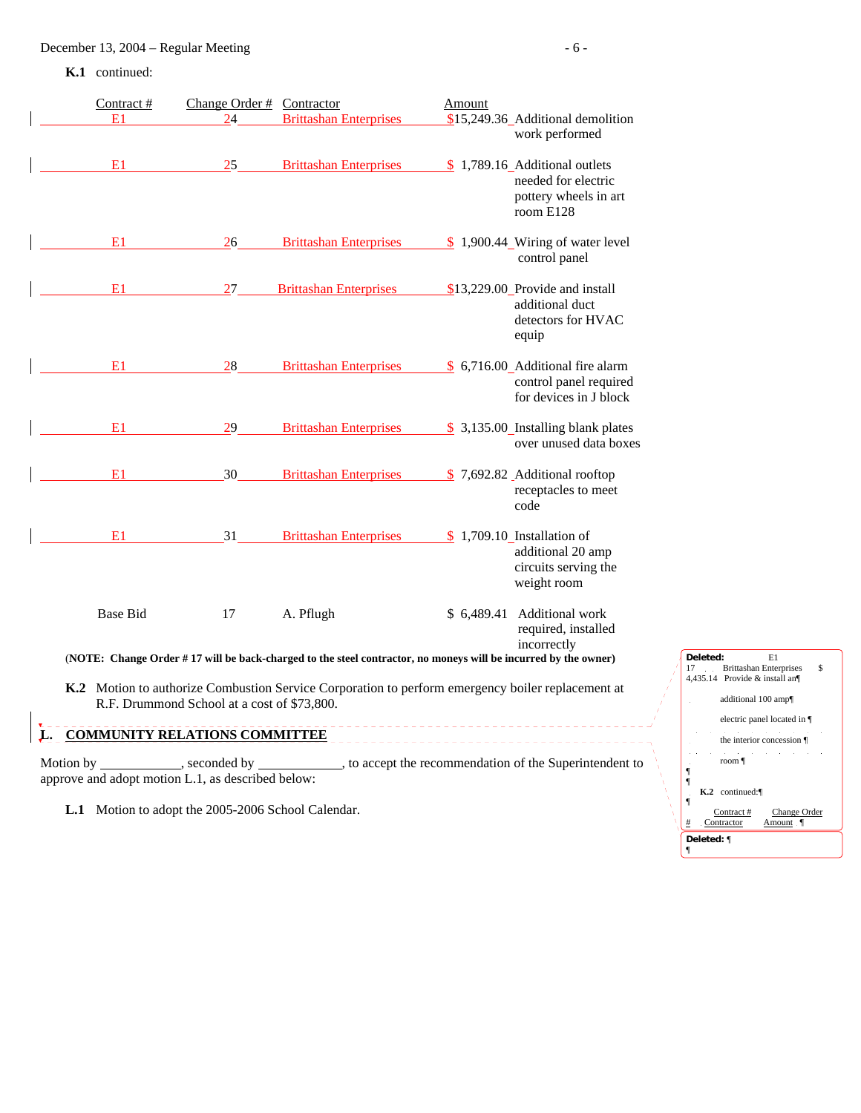**K.1** continued:

| Contract #<br>E1 | Change Order # Contractor<br>24 | <b>Brittashan Enterprises</b>                                                                                               | Amount | \$15,249.36_Additional demolition<br>work performed                                         |
|------------------|---------------------------------|-----------------------------------------------------------------------------------------------------------------------------|--------|---------------------------------------------------------------------------------------------|
| E1               | 25                              | <b>Brittashan Enterprises</b>                                                                                               |        | $$1,789.16$ Additional outlets<br>needed for electric<br>pottery wheels in art<br>room E128 |
| E1               | 26                              | <b>Brittashan Enterprises</b>                                                                                               |        | $$1,900.44$ Wiring of water level<br>control panel                                          |
| E1               | 27                              | <b>Brittashan Enterprises</b>                                                                                               |        | \$13,229.00 Provide and install<br>additional duct<br>detectors for HVAC<br>equip           |
| E1               | 28                              | <b>Brittashan Enterprises</b>                                                                                               |        | \$ 6,716.00_Additional fire alarm<br>control panel required<br>for devices in J block       |
| E1               | 29                              | <b>Brittashan Enterprises</b>                                                                                               |        | $$3,135.00$ Installing blank plates<br>over unused data boxes                               |
| E1               | 30                              | <b>Brittashan Enterprises</b>                                                                                               |        | \$7,692.82 Additional rooftop<br>receptacles to meet<br>code                                |
| E1               | 31                              | <b>Brittashan Enterprises</b>                                                                                               |        | $$1,709.10$ Installation of<br>additional 20 amp<br>circuits serving the<br>weight room     |
| <b>Base Bid</b>  | 17                              | A. Pflugh<br>(NOTE: Change Order #17 will be back-charged to the steel contractor, no moneys will be incurred by the owner) |        | \$ 6,489.41 Additional work<br>required, installed<br>incorrectly                           |

 **K.2** Motion to authorize Combustion Service Corporation to perform emergency boiler replacement at R.F. Drummond School at a cost of \$73,800.

# **L. COMMUNITY RELATIONS COMMITTEE**

Motion by \_\_\_\_\_\_\_\_\_\_\_\_, seconded by \_\_\_\_\_\_\_\_\_\_\_\_, to accept the recommendation of the Superintendent to approve and adopt motion L.1, as described below:

**L.1** Motion to adopt the 2005-2006 School Calendar.